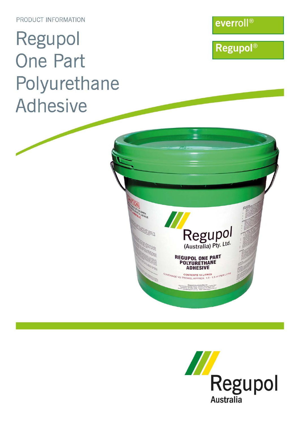PRODUCT INFORMATION

# Regupol **One Part** Polyurethane **Adhesive**

everroll®

**Regupol®** 



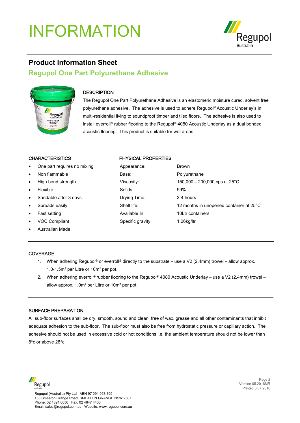

### **Product Information Sheet**

### **Regupol One Part Polyurethane Adhesive**



### **DESCRIPTION**

The Regupol One Part Polyurethane Adhesive is an elastomeric moisture cured, solvent free polyurethane adhesive. The adhesive is used to adhere Regupol® Acoustic Underlay's in multi-residential living to soundproof timber and tiled floors. The adhesive is also used to install everroll® rubber flooring to the Regupol® 4080 Acoustic Underlay as a dual bonded acoustic flooring. This product is suitable for wet areas

- One part requires no mixing A
- **Non flammable** Base: Polyurethane Base: Polyurethane Base: Polyurethane Base: Polyurethane Base: Polyurethane B
- **High bond strength Viscosity: 150,000 Viscosity: 150,000 Viscosity: 150,000 cps at 250,000 cps at 25**
- 
- Sandable after 3 days Drying Times: 3-4 hours
- 
- **Fast setting Available In: 10Ltr containers**
- voc Compliant Specific gravity: 1.26kg/ltr
- Australian Made

#### CHARACTERISTICS PHYSICAL PROPERTIES

| $\bullet$ | One part requires no mixing | Appearance:       | <b>Brown</b>                            |
|-----------|-----------------------------|-------------------|-----------------------------------------|
| $\bullet$ | Non flammable               | Base:             | Polyurethane                            |
| $\bullet$ | High bond strength          | Viscosity:        | 150,000 – 200,000 cps at $25^{\circ}$ C |
| $\bullet$ | Flexible                    | Solids:           | 99%                                     |
| $\bullet$ | Sandable after 3 days       | Drying Time:      | 3-4 hours                               |
| $\bullet$ | Spreads easily              | Shelf life:       | 12 months in unopened container at 25°C |
| $\bullet$ | Fast setting                | Available In:     | 10Ltr containers                        |
| $\bullet$ | <b>VOC Compliant</b>        | Specific gravity: | 1.26kg/ltr                              |

#### **COVERAGE**

- 1. When adhering Regupol<sup>®</sup> or everroll<sup>®</sup> directly to the substrate use a V2 (2.4mm) trowel allow approx. 1.0-1.5m² per Litre or 10m² per pot.
- 2. When adhering everroll® rubber flooring to the Regupol® 4080 Acoustic Underlay use a V2 (2.4mm) trowel allow approx. 1.0m² per Litre or 10m² per pot.

#### SURFACE PREPARATION

All sub-floor surfaces shall be dry, smooth, sound and clean, free of wax, grease and all other contaminants that inhibit adequate adhesion to the sub-floor. The sub-floor must also be free from hydrostatic pressure or capillary action. The adhesive should not be used in excessive cold or hot conditions i.e. the ambient temperature should not be lower than 8°c or above 28°c.

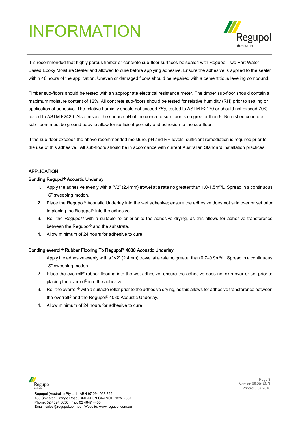

It is recommended that highly porous timber or concrete sub-floor surfaces be sealed with Regupol Two Part Water Based Epoxy Moisture Sealer and allowed to cure before applying adhesive. Ensure the adhesive is applied to the sealer within 48 hours of the application. Uneven or damaged floors should be repaired with a cementitious leveling compound.

Timber sub-floors should be tested with an appropriate electrical resistance meter. The timber sub-floor should contain a maximum moisture content of 12%. All concrete sub-floors should be tested for relative humidity (RH) prior to sealing or application of adhesive. The relative humidity should not exceed 75% tested to ASTM F2170 or should not exceed 70% tested to ASTM F2420. Also ensure the surface pH of the concrete sub-floor is no greater than 9. Burnished concrete sub-floors must be ground back to allow for sufficient porosity and adhesion to the sub-floor.

If the sub-floor exceeds the above recommended moisture, pH and RH levels, sufficient remediation is required prior to the use of this adhesive. All sub-floors should be in accordance with current Australian Standard installation practices.

#### **APPLICATION**

#### Bonding Regupol® Acoustic Underlay

- 1. Apply the adhesive evenly with a "V2" (2.4mm) trowel at a rate no greater than 1.0-1.5m²/L. Spread in a continuous "S" sweeping motion.
- 2. Place the Regupol® Acoustic Underlay into the wet adhesive; ensure the adhesive does not skin over or set prior to placing the Regupol® into the adhesive.
- 3. Roll the Regupol® with a suitable roller prior to the adhesive drying, as this allows for adhesive transference between the Regupol® and the substrate.
- 4. Allow minimum of 24 hours for adhesive to cure.

#### Bonding everroll® Rubber Flooring To Regupol® 4080 Acoustic Underlay

- 1. Apply the adhesive evenly with a "V2" (2.4mm) trowel at a rate no greater than 0.7–0.9m²/L. Spread in a continuous "S" sweeping motion.
- 2. Place the everroll<sup>®</sup> rubber flooring into the wet adhesive; ensure the adhesive does not skin over or set prior to placing the everroll® into the adhesive.
- 3. Roll the everroll<sup>®</sup> with a suitable roller prior to the adhesive drying, as this allows for adhesive transference between the everroll® and the Regupol® 4080 Acoustic Underlay.
- 4. Allow minimum of 24 hours for adhesive to cure.

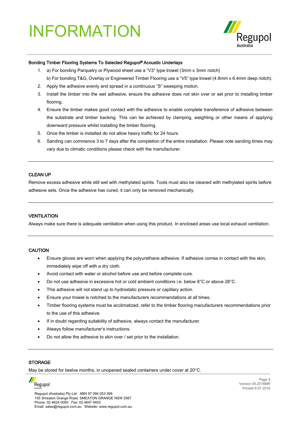

#### Bonding Timber Flooring Systems To Selected Regupol® Acoustic Underlays

- 1. a) For bonding Parquetry or Plywood sheet use a "V3" type trowel (3mm x 3mm notch)
- b) For bonding T&G, Overlay or Engineered Timber Flooring use a "V5" type trowel (4.8mm x 6.4mm deep notch).
- 2. Apply the adhesive evenly and spread in a continuous "S" sweeping motion.
- 3. Install the timber into the wet adhesive, ensure the adhesive does not skin over or set prior to installing timber flooring.
- 4. Ensure the timber makes good contact with the adhesive to enable complete transference of adhesive between the substrate and timber backing. This can be achieved by clamping, weighting or other means of applying downward pressure whilst installing the timber flooring.
- 5. Once the timber is installed do not allow heavy traffic for 24 hours.
- 6. Sanding can commence 3 to 7 days after the completion of the entire installation. Please note sanding times may vary due to climatic conditions please check with the manufacturer.

#### CLEAN UP

Remove excess adhesive while still wet with methylated spirits. Tools must also be cleaned with methylated spirits before adhesive sets. Once the adhesive has cured, it can only be removed mechanically.

#### **VENTILATION**

Always make sure there is adequate ventilation when using this product. In enclosed areas use local exhaust ventilation.

#### **CAUTION**

- Ensure gloves are worn when applying the polyurethane adhesive. If adhesive comes in contact with the skin, immediately wipe off with a dry cloth.
- Avoid contact with water or alcohol before use and before complete cure.
- Do not use adhesive in excessive hot or cold ambient conditions i.e. below 8°C or above 28°C.
- This adhesive will not stand up to hydrostatic pressure or capillary action.
- Ensure your trowel is notched to the manufacturers recommendations at all times.
- Timber flooring systems must be acclimatized, refer to the timber flooring manufacturers recommendations prior to the use of this adhesive.
- If in doubt regarding suitability of adhesive, always contact the manufacturer.
- Always follow manufacturer's instructions.
- Do not allow the adhesive to skin over / set prior to the installation.

#### **STORAGE**

May be stored for twelve months, in unopened sealed containers under cover at 20°C.



Regupol (Australia) Pty Ltd ABN 97 094 053 399 155 Smeaton Grange Road, SMEATON GRANGE NSW 2567 Phone: 02 4624 0050 Fax: 02 4647 4403 Email: sales@regupol.com.au Website: www.regupol.com.au